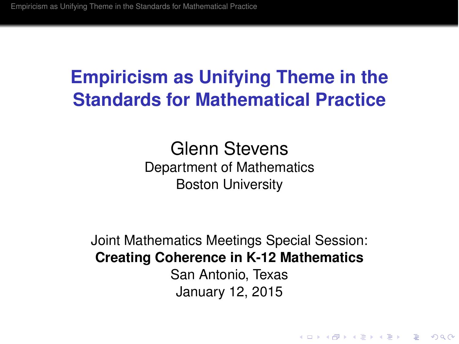Glenn Stevens Department of Mathematics Boston University

Joint Mathematics Meetings Special Session: **Creating Coherence in K-12 Mathematics** San Antonio, Texas January 12, 2015

**KORK ERKER ADAM ADA**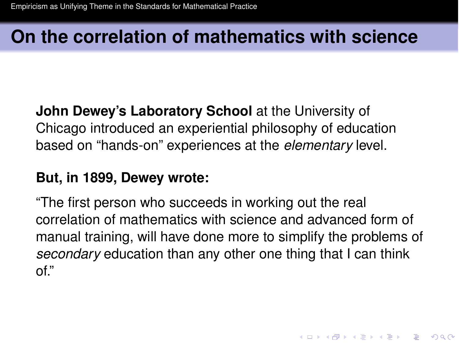# **On the correlation of mathematics with science**

**John Dewey's Laboratory School** at the University of Chicago introduced an experiential philosophy of education based on "hands-on" experiences at the *elementary* level.

#### **But, in 1899, Dewey wrote:**

<span id="page-1-0"></span>"The first person who succeeds in working out the real correlation of mathematics with science and advanced form of manual training, will have done more to simplify the problems of *secondary* education than any other one thing that I can think of."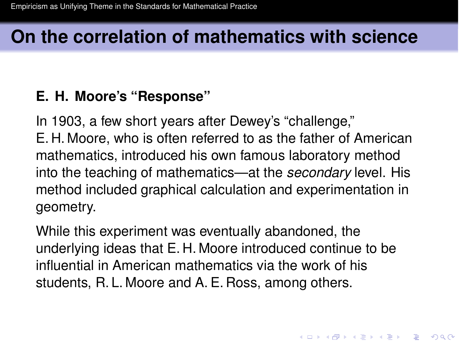# **On the correlation of mathematics with science**

#### **E. H. Moore's "Response"**

In 1903, a few short years after Dewey's "challenge," E. H. Moore, who is often referred to as the father of American mathematics, introduced his own famous laboratory method into the teaching of mathematics—at the *secondary* level. His method included graphical calculation and experimentation in geometry.

While this experiment was eventually abandoned, the underlying ideas that E. H. Moore introduced continue to be influential in American mathematics via the work of his students, R. L. Moore and A. E. Ross, among others.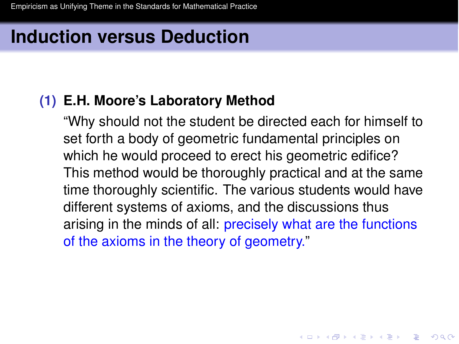# **Induction versus Deduction**

#### **(1) E.H. Moore's Laboratory Method**

"Why should not the student be directed each for himself to set forth a body of geometric fundamental principles on which he would proceed to erect his geometric edifice? This method would be thoroughly practical and at the same time thoroughly scientific. The various students would have different systems of axioms, and the discussions thus arising in the minds of all: precisely what are the functions of the axioms in the theory of geometry."

**KORK ERKER ADAM ADA**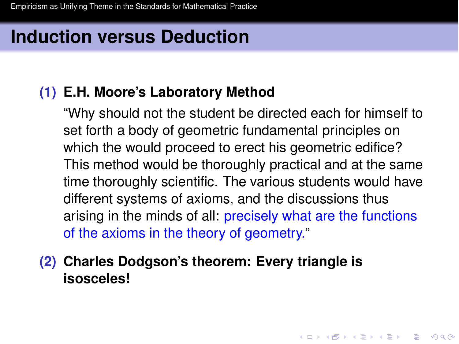# **Induction versus Deduction**

#### **(1) E.H. Moore's Laboratory Method**

"Why should not the student be directed each for himself to set forth a body of geometric fundamental principles on which the would proceed to erect his geometric edifice? This method would be thoroughly practical and at the same time thoroughly scientific. The various students would have different systems of axioms, and the discussions thus arising in the minds of all: precisely what are the functions of the axioms in the theory of geometry."

**(2) Charles Dodgson's theorem: Every triangle is isosceles!**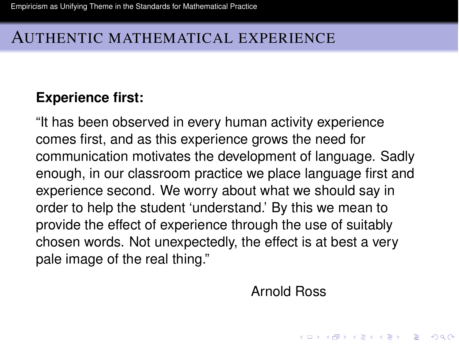### AUTHENTIC MATHEMATICAL EXPERIENCE

#### **Experience first:**

<span id="page-5-0"></span>"It has been observed in every human activity experience comes first, and as this experience grows the need for communication motivates the development of language. Sadly enough, in our classroom practice we place language first and experience second. We worry about what we should say in order to help the student 'understand.' By this we mean to provide the effect of experience through the use of suitably chosen words. Not unexpectedly, the effect is at best a very pale image of the real thing."

Arnold Ross

**KORK ERKEY EL POLO**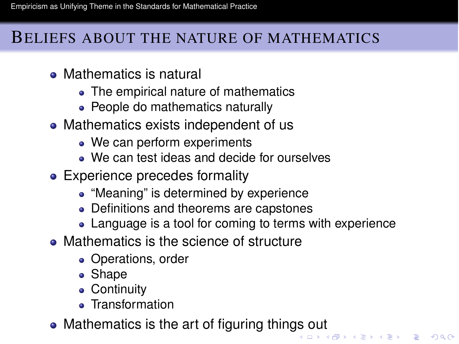### BELIEFS ABOUT THE NATURE OF MATHEMATICS

- Mathematics is natural
	- The empirical nature of mathematics
	- People do mathematics naturally
- Mathematics exists independent of us
	- We can perform experiments
	- We can test ideas and decide for ourselves
- Experience precedes formality
	- "Meaning" is determined by experience
	- Definitions and theorems are capstones
	- Language is a tool for coming to terms with experience
- Mathematics is the science of structure
	- Operations, order
	- Shape
	- **Continuity**
	- Transformation
- Mathematics is the art of figuring thin[gs](#page-5-0) [ou](#page-7-0)[t](#page-5-0)  $\frac{1}{2}$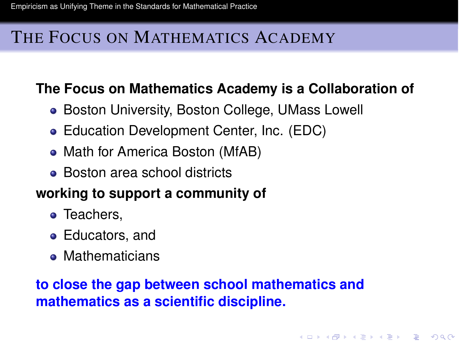### THE FOCUS ON MATHEMATICS ACADEMY

### **The Focus on Mathematics Academy is a Collaboration of**

- Boston University, Boston College, UMass Lowell
- Education Development Center, Inc. (EDC)
- Math for America Boston (MfAB)
- Boston area school districts

### **working to support a community of**

- Teachers,
- Educators, and
- **Mathematicians**

### <span id="page-7-0"></span>**to close the gap between school mathematics and mathematics as a scientific discipline.**

**KORK ERKER ADAM ADA**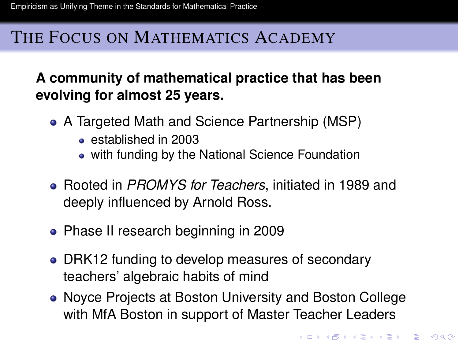### THE FOCUS ON MATHEMATICS ACADEMY

### **A community of mathematical practice that has been evolving for almost 25 years.**

- A Targeted Math and Science Partnership (MSP)
	- established in 2003
	- with funding by the National Science Foundation
- Rooted in *PROMYS for Teachers*, initiated in 1989 and deeply influenced by Arnold Ross.
- Phase II research beginning in 2009
- DRK12 funding to develop measures of secondary teachers' algebraic habits of mind
- Noyce Projects at Boston University and Boston College with MfA Boston in support of Master Teacher Leaders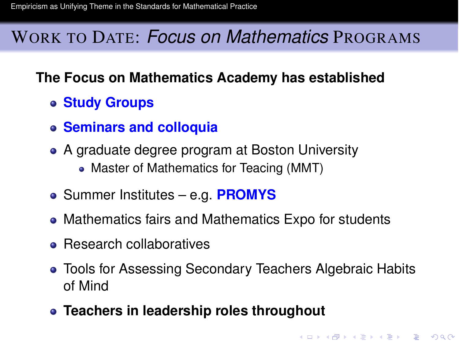# WORK TO DATE: *Focus on Mathematics* PROGRAMS

### **The Focus on Mathematics Academy has established**

- **Study Groups**
- **Seminars and colloquia**
- A graduate degree program at Boston University
	- Master of Mathematics for Teacing (MMT)
- Summer Institutes e.g. **PROMYS**
- Mathematics fairs and Mathematics Expo for students
- Research collaboratives
- Tools for Assessing Secondary Teachers Algebraic Habits of Mind

**KORK ERKER ADAM ADA** 

**Teachers in leadership roles throughout**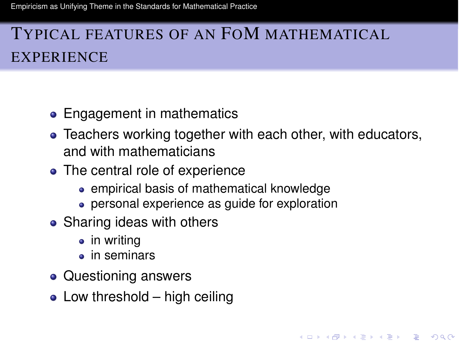# TYPICAL FEATURES OF AN FOM MATHEMATICAL **EXPERIENCE**

- Engagement in mathematics
- Teachers working together with each other, with educators, and with mathematicians

**KORK ERKER ADAM ADA** 

- The central role of experience
	- empirical basis of mathematical knowledge
	- **personal experience as quide for exploration**
- Sharing ideas with others
	- in writing
	- in seminars
- Questioning answers
- $\bullet$  Low threshold high ceiling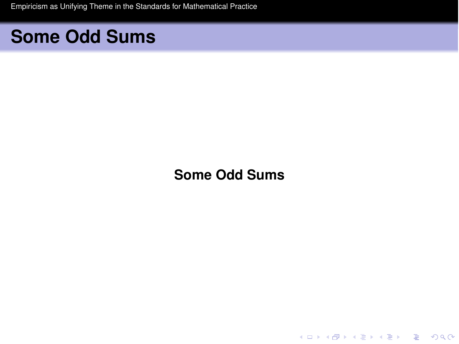# **Some Odd Sums**

**Some Odd Sums**

K ロ ▶ K @ ▶ K 할 ▶ K 할 ▶ .. 할 .. 990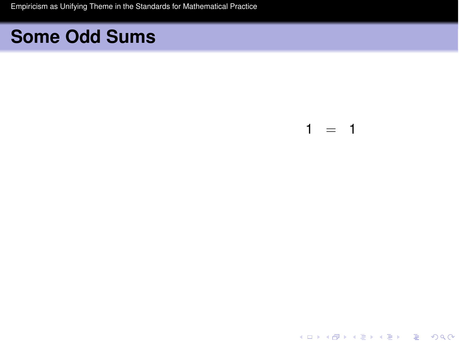# **Some Odd Sums**

#### $1 = 1$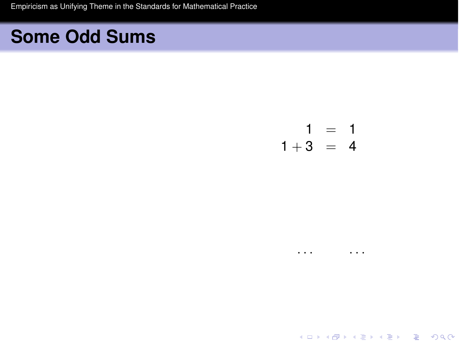# **Some Odd Sums**

 $\begin{array}{rcl} 1 & = & 1 \\ 1+3 & = & 4 \end{array}$ 

 $\sim$   $\sim$   $\sim$   $\sim$   $\sim$   $\sim$ 

K ロ ▶ K @ ▶ K 할 ▶ K 할 ▶ .. 할 .. 990

 $\cdots$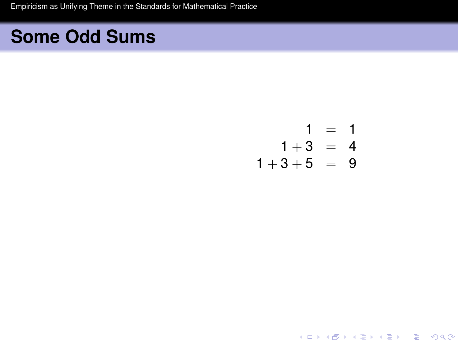$$
1 = 1 \n1+3 = 4 \n1+3+5 = 9
$$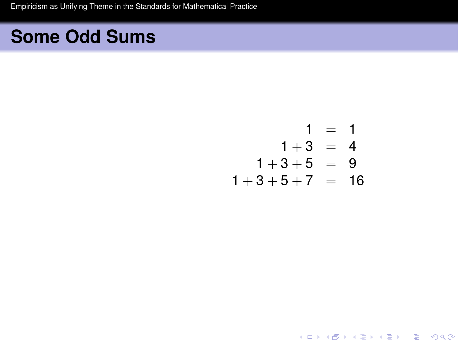$$
1 = 1
$$
  
\n
$$
1 + 3 = 4
$$
  
\n
$$
1 + 3 + 5 = 9
$$
  
\n
$$
1 + 3 + 5 + 7 = 16
$$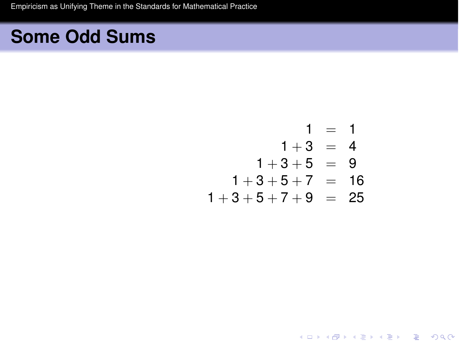$$
1 = 1
$$
  
\n
$$
1 + 3 = 4
$$
  
\n
$$
1 + 3 + 5 = 9
$$
  
\n
$$
1 + 3 + 5 + 7 = 16
$$
  
\n
$$
1 + 3 + 5 + 7 + 9 = 25
$$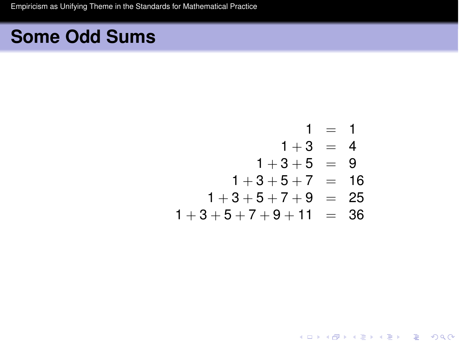$$
1 = 1
$$
  
\n
$$
1+3 = 4
$$
  
\n
$$
1+3+5 = 9
$$
  
\n
$$
1+3+5+7 = 16
$$
  
\n
$$
1+3+5+7+9 = 25
$$
  
\n
$$
1+3+5+7+9+11 = 36
$$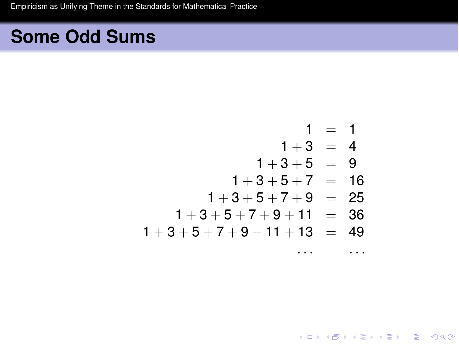$1 = 1$  $1+3 = 4$  $1+3+5 = 9$  $1+3+5+7 = 16$  $1+3+5+7+9 = 25$  $1+3+5+7+9+11 = 36$  $1+3+5+7+9+11+13 = 49$ 

 $\ddots$ 

**KORKARA KERKER DAGA**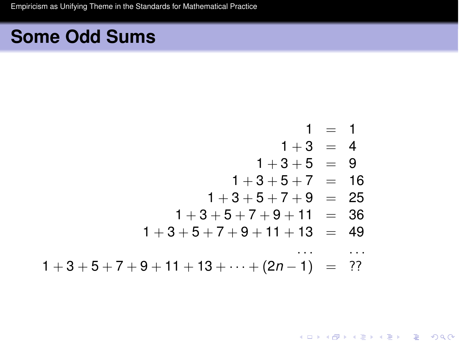$$
1 = 1
$$
  
\n
$$
1 + 3 = 4
$$
  
\n
$$
1 + 3 + 5 = 9
$$
  
\n
$$
1 + 3 + 5 + 7 = 16
$$
  
\n
$$
1 + 3 + 5 + 7 + 9 = 25
$$
  
\n
$$
1 + 3 + 5 + 7 + 9 + 11 = 36
$$
  
\n
$$
1 + 3 + 5 + 7 + 9 + 11 + 13 = 49
$$
  
\n...  
\n
$$
1 + 3 + 5 + 7 + 9 + 11 + 13 + \dots + (2n - 1) = ??
$$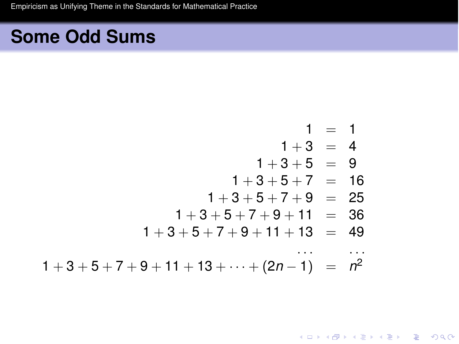$$
1 = 1
$$
\n
$$
1 + 3 = 4
$$
\n
$$
1 + 3 + 5 = 9
$$
\n
$$
1 + 3 + 5 + 7 = 16
$$
\n
$$
1 + 3 + 5 + 7 + 9 = 25
$$
\n
$$
1 + 3 + 5 + 7 + 9 + 11 = 36
$$
\n
$$
1 + 3 + 5 + 7 + 9 + 11 + 13 = 49
$$
\n...  
\n
$$
1 + 3 + 5 + 7 + 9 + 11 + 13 + \dots + (2n - 1) = n2
$$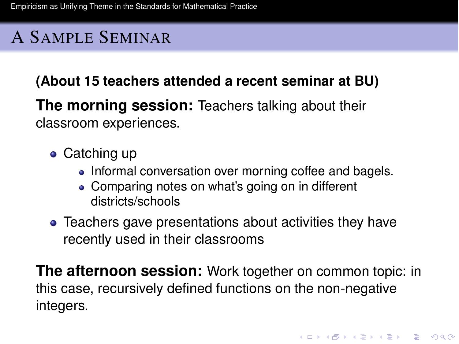# A SAMPLE SEMINAR

**(About 15 teachers attended a recent seminar at BU)**

**The morning session:** Teachers talking about their classroom experiences.

- Catching up
	- Informal conversation over morning coffee and bagels.
	- Comparing notes on what's going on in different districts/schools
- Teachers gave presentations about activities they have recently used in their classrooms

**The afternoon session:** Work together on common topic: in this case, recursively defined functions on the non-negative integers.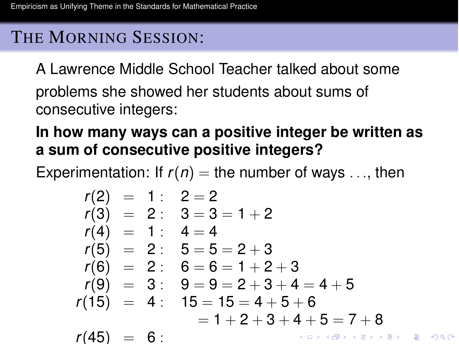# THE MORNING SESSION:

A Lawrence Middle School Teacher talked about some problems she showed her students about sums of consecutive integers:

### **In how many ways can a positive integer be written as a sum of consecutive positive integers?**

Experimentation: If  $r(n) =$  the number of ways  $\dots$ , then

*r*(2) = 1 : 2 = 2 *r*(3) = 2 : 3 = 3 = 1 + 2 *r*(4) = 1 : 4 = 4 *r*(5) = 2 : 5 = 5 = 2 + 3 *r*(6) = 2 : 6 = 6 = 1 + 2 + 3 *r*(9) = 3 : 9 = 9 = 2 + 3 + 4 = 4 + 5 *r*(15) = 4 : 15 = 15 = 4 + 5 + 6 = 1 + 2 + 3 + 4 + 5 = 7 + 8 *r*(45) = 6 :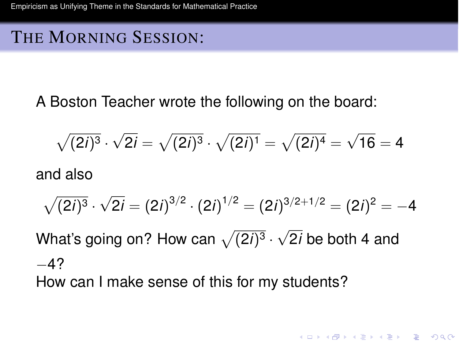### THE MORNING SESSION:

A Boston Teacher wrote the following on the board:

$$
\sqrt{(2i)^3} \cdot \sqrt{2i} = \sqrt{(2i)^3} \cdot \sqrt{(2i)^1} = \sqrt{(2i)^4} = \sqrt{16} = 4
$$

and also

$$
\sqrt{(2i)^3} \cdot \sqrt{2i} = (2i)^{3/2} \cdot (2i)^{1/2} = (2i)^{3/2+1/2} = (2i)^2 = -4
$$

**KORK ERKER ADAM ADA** 

What's going on? How can  $\sqrt{(2i)^3}\cdot\sqrt{2i}$  be both 4 and  $-4?$ 

How can I make sense of this for my students?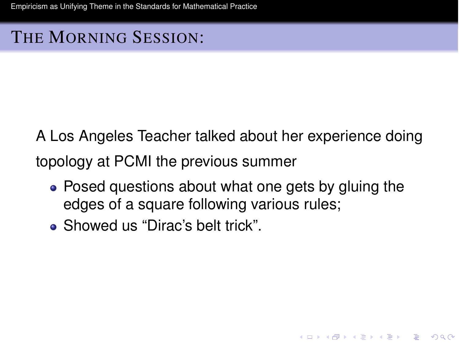### THE MORNING SESSION:

A Los Angeles Teacher talked about her experience doing topology at PCMI the previous summer

• Posed questions about what one gets by gluing the edges of a square following various rules;

KEL KALEY KEY E NOO

Showed us "Dirac's belt trick".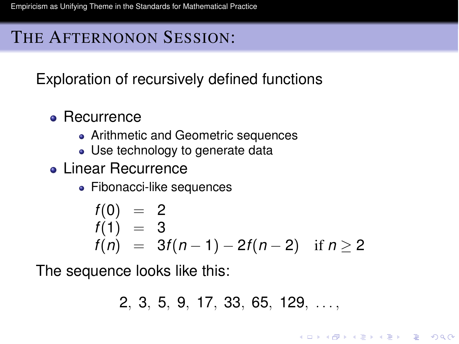### THE AFTERNONON SESSION:

Exploration of recursively defined functions

- Recurrence
	- Arithmetic and Geometric sequences
	- Use technology to generate data
- **Linear Recurrence** 
	- Fibonacci-like sequences

$$
f(0) = 2\n f(1) = 3\n f(n) = 3f(n-1) - 2f(n-2) \text{ if } n \ge 2
$$

The sequence looks like this:

$$
2, 3, 5, 9, 17, 33, 65, 129, \ldots,
$$

KEL KALEY KEY E NOO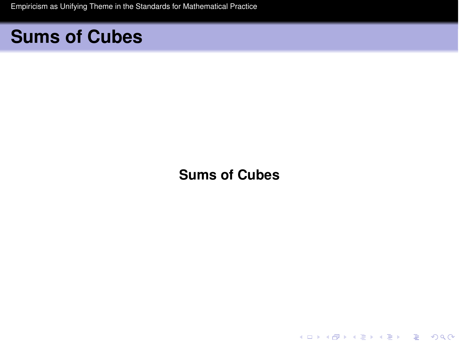# **Sums of Cubes**

**Sums of Cubes**

K ロ ▶ K @ ▶ K 할 ▶ K 할 ▶ .. 할 .. 990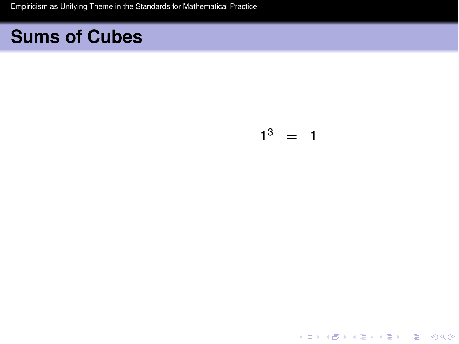$$
1^3 = 1
$$

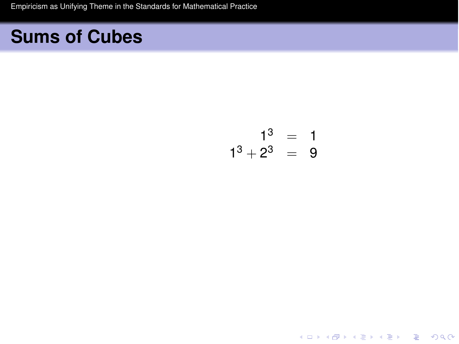$$
\begin{array}{rcl}1^3 & = & 1\\1^3+2^3 & = & 9\end{array}
$$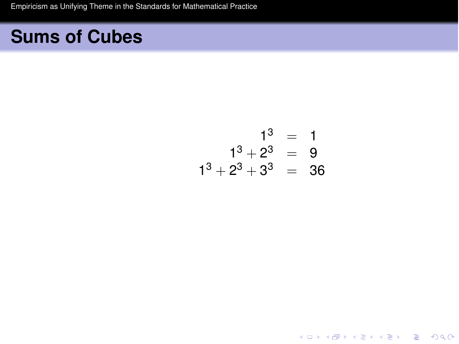$$
1^3 = 1
$$
  
\n
$$
1^3 + 2^3 = 9
$$
  
\n
$$
1^3 + 2^3 + 3^3 = 36
$$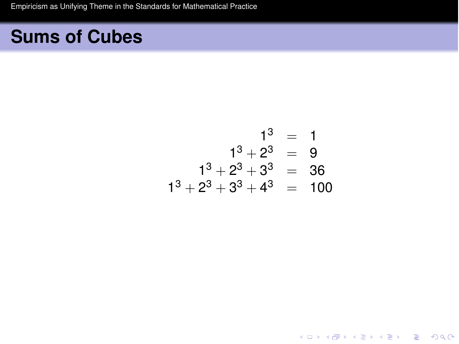$$
13 = 1
$$
  
\n
$$
13 + 23 = 9
$$
  
\n
$$
13 + 23 + 33 = 36
$$
  
\n
$$
13 + 23 + 33 + 43 = 100
$$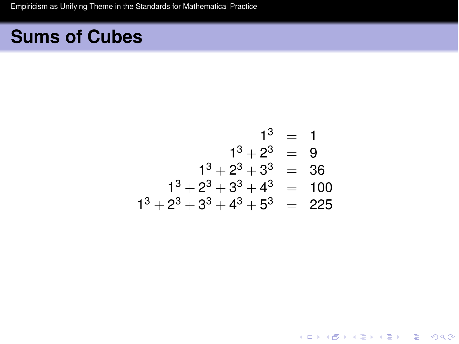$$
13 = 1
$$
  
\n
$$
13 + 23 = 9
$$
  
\n
$$
13 + 23 + 33 = 36
$$
  
\n
$$
13 + 23 + 33 + 43 = 100
$$
  
\n
$$
13 + 23 + 33 + 43 + 53 = 225
$$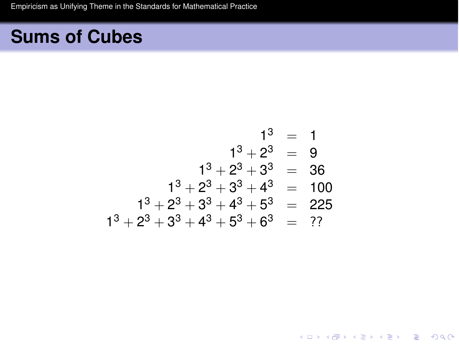$$
13 = 1
$$
  
\n
$$
13 + 23 = 9
$$
  
\n
$$
13 + 23 + 33 = 36
$$
  
\n
$$
13 + 23 + 33 + 43 = 100
$$
  
\n
$$
13 + 23 + 33 + 43 + 53 = 225
$$
  
\n
$$
13 + 23 + 33 + 43 + 53 + 63 = ??
$$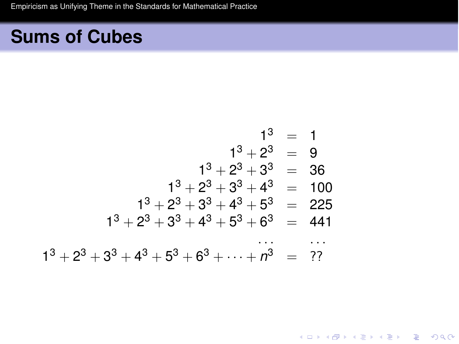$$
13 = 1
$$
  
\n
$$
13 + 23 = 9
$$
  
\n
$$
13 + 23 + 33 = 36
$$
  
\n
$$
13 + 23 + 33 + 43 = 100
$$
  
\n
$$
13 + 23 + 33 + 43 + 53 = 225
$$
  
\n
$$
13 + 23 + 33 + 43 + 53 + 63 = 441
$$
  
\n
$$
13 + 23 + 33 + 43 + 53 + 63 + ... + n3 = ??
$$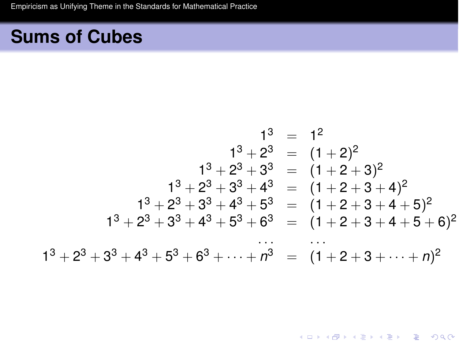$$
1^3 = 1^2
$$
  
\n
$$
1^3 + 2^3 = (1 + 2)^2
$$
  
\n
$$
1^3 + 2^3 + 3^3 = (1 + 2 + 3)^2
$$
  
\n
$$
1^3 + 2^3 + 3^3 + 4^3 = (1 + 2 + 3 + 4)^2
$$
  
\n
$$
1^3 + 2^3 + 3^3 + 4^3 + 5^3 = (1 + 2 + 3 + 4 + 5)^2
$$
  
\n
$$
1^3 + 2^3 + 3^3 + 4^3 + 5^3 + 6^3 = (1 + 2 + 3 + 4 + 5 + 6)^2
$$
  
\n
$$
1^3 + 2^3 + 3^3 + 4^3 + 5^3 + 6^3 + \dots + n^3 = (1 + 2 + 3 + \dots + n)^2
$$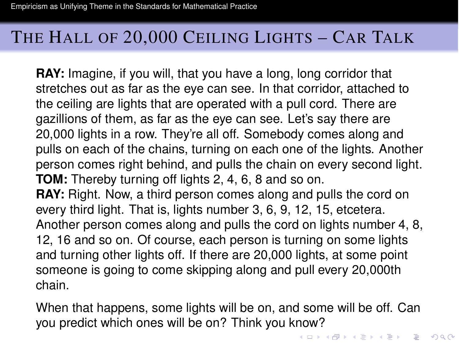### THE HALL OF 20,000 CEILING LIGHTS – CAR TALK

**RAY:** Imagine, if you will, that you have a long, long corridor that stretches out as far as the eye can see. In that corridor, attached to the ceiling are lights that are operated with a pull cord. There are gazillions of them, as far as the eye can see. Let's say there are 20,000 lights in a row. They're all off. Somebody comes along and pulls on each of the chains, turning on each one of the lights. Another person comes right behind, and pulls the chain on every second light. **TOM:** Thereby turning off lights 2, 4, 6, 8 and so on. **RAY:** Right. Now, a third person comes along and pulls the cord on every third light. That is, lights number 3, 6, 9, 12, 15, etcetera. Another person comes along and pulls the cord on lights number 4, 8, 12, 16 and so on. Of course, each person is turning on some lights

and turning other lights off. If there are 20,000 lights, at some point someone is going to come skipping along and pull every 20,000th chain.

When that happens, some lights will be on, and some will be off. Can you predict which ones will be on? Think you know?<br>Make a series are a series and series and series and series and series and series and series and series and se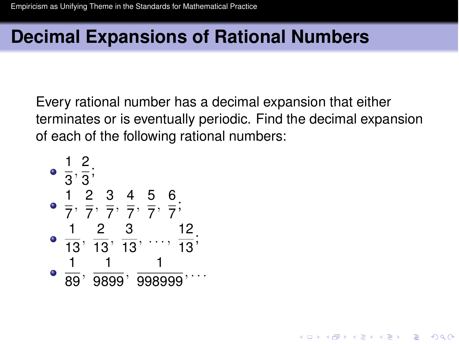# **Decimal Expansions of Rational Numbers**

Every rational number has a decimal expansion that either terminates or is eventually periodic. Find the decimal expansion of each of the following rational numbers:

**KORK ERKER ADAM ADA** 

\n- $$
\frac{1}{3}, \frac{2}{3}
$$
\n- $\frac{1}{7}, \frac{2}{7}, \frac{3}{7}, \frac{4}{7}, \frac{5}{7}, \frac{6}{7}$
\n- $\frac{1}{13}, \frac{2}{13}, \frac{3}{13}, \dots, \frac{12}{13}$
\n- $\frac{1}{89}, \frac{1}{9899}, \frac{1}{998999}, \dots$
\n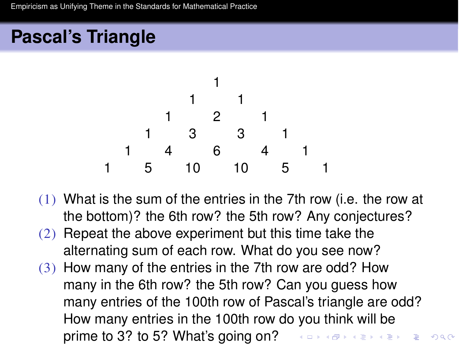# **Pascal's Triangle**



- (1) What is the sum of the entries in the 7th row (i.e. the row at the bottom)? the 6th row? the 5th row? Any conjectures?
- (2) Repeat the above experiment but this time take the alternating sum of each row. What do you see now?
- (3) How many of the entries in the 7th row are odd? How many in the 6th row? the 5th row? Can you guess how many entries of the 100th row of Pascal's triangle are odd? How many entries in the 100th row do you think will be prime to 3? to 5? What's going on? And A B A E A E A  $\Rightarrow$

 $2990$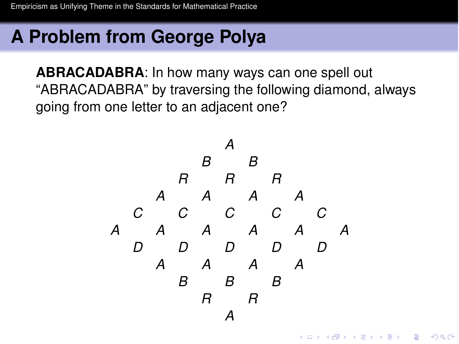# **A Problem from George Polya**

**ABRACADABRA**: In how many ways can one spell out "ABRACADABRA" by traversing the following diamond, always going from one letter to an adjacent one?